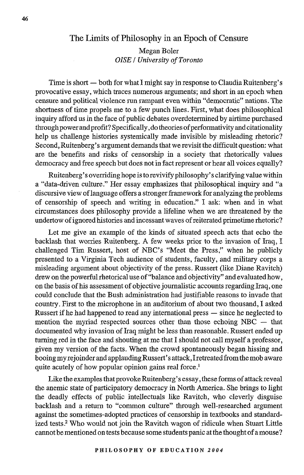## The Limits of Philosophy in an Epoch of Censure

Megan Boler *OISE / University of Toronto*

Time is short — both for what I might say in response to Claudia Ruitenberg's provocative essay, which traces numerous arguments; and short in an epoch when censure and political violence run rampant even within "democratic" nations. The shortness of time propels me to a few punch lines. First, what does philosophical inquiry afford us in the face of public debates overdetermined by airtime purchased through power and profit? Specifically, do theories of performativity and citationality help us challenge histories systemically made invisible by misleading rhetoric? Second, Ruitenberg's argument demands that we revisit the difficult question: what are the benefits and risks of censorship in a society that rhetorically values democracy and free speech but does not in fact represent or hear all voices equally?

Ruitenberg's overriding hope is to revivify philosophy's clarifying value within a "data-driven culture." Her essay emphasizes that philosophical inquiry and "a discursive view of language offers a stronger framework for analyzing the problems of censorship of speech and writing in education." I ask: when and in what circumstances does philosophy provide a lifeline when we are threatened by the undertow of ignored histories and incessant waves of reiterated primetime rhetoric?

Let me give an example of the kinds of situated speech acts that echo the backlash that worries Ruitenberg. A few weeks prior to the invasion of Iraq, I challenged Tim Russert, host of NBC's "Meet the Press," when he publicly presented to a Virginia Tech audience of students, faculty, and military corps a misleading argument about objectivity of the press. Russert (like Diane Ravitch) drew on the powerful rhetorical use of "balance and objectivity" and evaluated how, on the basis of his assessment of objective joumalistic accounts regarding Iraq, one could conclude that the Bush administration had justifiable reasons to invade that country. First to the microphone in an auditorium of about two thousand, I asked Russert if he had happened to read any international press — since he neglected to mention the myriad respected sources other than those echoing  $NBC -$  that documented why invasion of Iraq might be less than reasonable. Russert ended up turning red in the face and shouting at me that I should not call myself a professor, given my version of the facts. When the crowd spontaneously began hissing and booing my rejoinder and applauding Russert's attack, I retreated from the mob aware quite acutely of how popular opinion gains real force.<sup>1</sup>

Like the examples that provoke Ruitenberg's essay, these forms of attack reveal the anemic state of participatory democracy in North America. She brings to light the deadly effects of public intellectuals like Ravitch, who cleverly disguise backlash and a return to "common culture" through well-researched argument against the sometimes-adopted practices of censorship in textbooks and standardized tests.<sup>2</sup> Who would not join the Ravitch wagon of ridicule when Stuart Little cannot be mentioned on tests because some students panic at the thought of a mouse?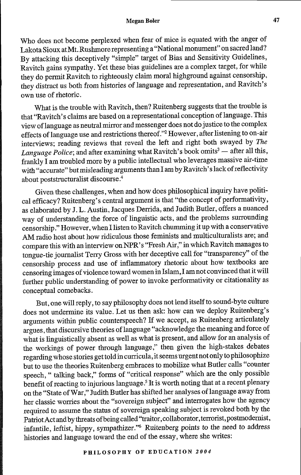## Megan **Boler**

Who does not become perplexed when fear of mice is equated with the anger of Lakota Sioux atMt. Rushmore representing a "National monument" on sacred land? By attacking this deceptively "simple" target of Bias and Sensitivity Guidelines, Ravitch gains sympathy. Yet these bias guidelines are a complex target, for while they do permit Ravitch to righteously claim moral highground against censorship, they distract us both from histories of language and representation, and Ravitch's own use of rhetoric.

What is the trouble with Ravitch, then? Ruitenberg suggests that the trouble is that "Ravitch' s claims are based on a representational conception of language. This view of language as neutral mirror and messenger does not do justice to the complex effects of language use and restrictions thereof."<sup>2</sup> However, after listening to on-air interviews; reading reviews that reveal the left and right both swayed by *The Language Police*; and after examining what Ravitch's book omits<sup>3</sup> — after all this, frankly I am troubled more by a public intellectual who leverages massive air-time with "accurate" but misleading arguments than I am byRavitch's lack ofreflectivity about poststructuralist discourse. <sup>4</sup>

Given these challenges, when and how does philosophical inquiry have political efficacy? Ruitenberg's central argument is that "the concept of performativity, as elaborated by J. L. Austin, Jacques Derrida, and Judith Butler, offers a nuanced way of understanding the force of linguistic acts, and the problems surrounding censorship." However, when I listen to Ravitch chumming it up with a conservative AM radio host about how ridiculous those feminists and multiculturalists are; and compare this with an interview onNPR's "FreshAir," in which Ravitch manages to tongue-tie journalist Terry Gross with her deceptive call for "transparency" of the censorship process and use of inflammatory rhetoric about how textbooks are censoring images of violence toward women in Islam, I am not convinced that it will further public understanding of power to invoke performativity or citationality as conceptual comebacks.

But, one will reply, to say philosophy does not lend itself to sound-byte culture does not undermine its value. Let us then ask: how can we deploy Ruitenberg's arguments within public counterspeech? If we accept, as Ruitenberg articulately argues, that discursive theories of language "acknowledge the meaning and force of what is linguistically absent as well as what is present, and allow for an analysis of the workings of power through language," then given the high-stakes debates regarding whose stories get told in curricula, it seems urgent not only to philosophize but to use the theories Ruitenberg embraces to mobilize what Butler calls "counter speech, " talking back," forms of "critical response" which are the only possible benefit of reacting to injurious language.<sup>5</sup> It is worth noting that at a recent plenary on the "State of War," Judith Butler has shifted her analyses of language away from her classic worries about the "sovereign subject" and interrogates how the agency required to assume the status of sovereign speaking subject is revoked both by the Patriot Act and by threats of being called "traitor, collaborator, terrorist, postmodernist, infantile, leftist, hippy, sympathizer."<sup>6</sup> Ruitenberg points to the need to address histories and language toward the end of the essay, where she writes: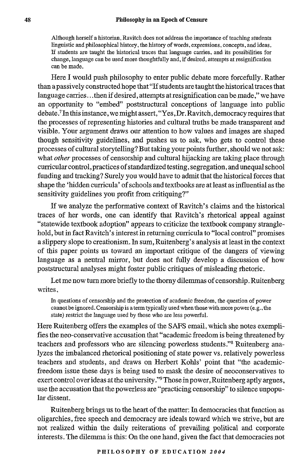Although herself a historian, Ravitch does not address the importance of teaching students linguistic and philosophical history, the history of words, expressions, concepts, and ideas. If students are taught the historical traces that language carries, and its possibilities for change, language can be used more thoughtfully and, if desired, attempts at resignification can be made.

Here I would push philosophy to enter public debate more forcefully. Rather than a passively constructed hope that "If students are taught the historical traces that language carries... then if desired, attempts at resignification can be made," we have an opportunity to "embed" poststructural conceptions of language into public debate.7 In this instance, we might assert, "Yes,Dr. Ravitch, democracy requires that the processes of representing histories and cultural truths be made transparent and visible. Your argument draws our attention to how values and images are shaped though sensitivity guidelines, and pushes us to ask, who gets to control these processes of cultural storytelling? But taking your points further, should we not ask: what *other* processes of censorship and cultural hijacking are taking place through curricular control, practices of standardized testing, segregation, and unequal school funding and tracking? Surely you would have to admit that the historical forces that shape the 'hidden curricula' of schools and textbooks are at least as influential as the sensitivity guidelines you profit from critiquing?"

If we analyze the performative context of Ravitch's claims and the historical traces of her words, one can identify that Ravitch's rhetorical appeal against "statewide textbook adoption" appears to criticize the textbook company stranglehold, but in fact Ravitch's interest in returning curricula to "local control" promises a slippery slope to creationism. In sum, Ruitenberg's analysis at least in the context of this paper points us toward an important critique of the dangers of viewing language as a neutral mirror, but does not fully develop a discussion of how poststructural analyses might foster public critiques of misleading rhetoric.

Let me now turn more briefly to the thorny dilemmas of censorship. Ruitenberg writes,

In questions of censorship and the protection of academic freedom, the question of power cannot be ignored. Censorship is a term typically used when those with more power (e.g., the state) restrict the language used by those who are less powerful.

Here Ruitenberg offers the examples of the SAFS email, which she notes exemplifies the neo-conservative accusation that "academic freedom is being threatened by teachers and professors who are silencing powerless students."<sup>8</sup> Ruitenberg analyzes the imbalanced rhetorical positioning of state power vs. relatively powerless teachers and students, and draws on Herbert Kohls' point that "the academicfreedom issue these days is being used to mask the desire of neoconservatives to exert control over ideas at the university."9Those in power, Ruitenberg aptly argues, use the accusation that the powerless are "practicing censorship" to silence unpopular dissent.

Ruitenberg brings us to the heart of the matter: In democracies that function as oligarchies, free speech and democracy are ideals toward which we strive, but are not realized within the daily reiterations of prevailing political and corporate interests. The dilemma is this: On the one hand, given the fact that democracies not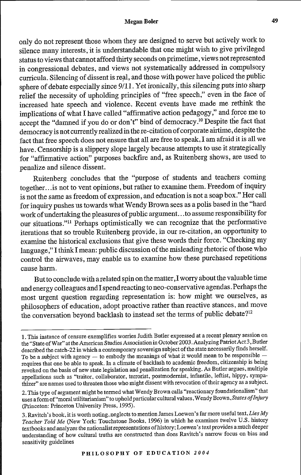## Megan **Boler**

only do not represent those whom they are designed to serve but actively work to silence many interests, it is understandable that one might wish to give privileged status to views that cannot afford thirty seconds on primetime, views not represented in congressional debates, and views not systematically addressed in compulsory curricula. Silencing of dissent is real, and those with power have policed the public sphere of debate especially since 9/11. Yet ironically, this silencing puts into sharp relief the necessity of upholding principles of "free speech," even in the face of increased hate speech and violence. Recent events have made me rethink the implications of what I have called "affirmative action pedagogy," and force me to accept the "damned if you do or don't" bind of democracy.<sup>10</sup> Despite the fact that democracy is not currently realized in the re-citation of corporate airtime, despite the fact that free speech does not ensure that all are free to speak, I am afraid it is all we have. Censorship is a slippery slope largely because attempts to use it strategically for "affirmative action" purposes backfire and, as Ruitenberg shows, are used to penalize and silence dissent.

Ruitenberg concludes that the "purpose of students and teachers coming together.. .is not to vent opinions, but rather to examine them. Freedom of inquiry is not the same as freedom of expression, and education is not a soap box." Her call for inquiry pushes us towards what Wendy Brown sees as a polis based in the "hard work of undertaking the pleasures of public argument. . .to assume responsibility for our situations."" Perhaps optimistically we can recognize that the performative iterations that so trouble Ruitenberg provide, in our re-citation, an opportunity to examine the historical exclusions that give these words their force. "Checking my language ," I think I mean: public discussion of the misleading rhetoric of those who control the airwaves, may enable us to examine how these purchased repetitions cause harm.

But to conclude with a related spin on the matter,I worry about the valuable time and energy colleagues and I spend reacting to neo-conservative agendas. Perhaps the most urgent question regarding representation is: how might we ourselves, as philosophers of education, adopt proactive rather than reactive stances, and move the conversation beyond backlash to instead set the terms of public debate?<sup>12</sup>

<sup>1.</sup> This instance of censure exemplifies worries Judith Butler expressed at a recent plenary session on the "State of War" at the American Studies Association in October 2003. Analyzing Patriot Act 3, Butler described the catch-22 in which a contemporary sovereign subject of the state necessarily finds herself. To be a subject with agency  $-$  to embody the meanings of what it would mean to be responsible  $$ requires that one be able to speak. In a climate of backlash to academic freedom, citizenship is being revoked on the basis of new state legislation and penalization for speaking. As Butler argues, multiple appellations such as "traitor, collaborator, terrorist, postmodernist, infantile, leftist, hippy, sympathizer" are names used to threaten those who might dissent with revocation of their agency as a subject.

<sup>2.</sup> This type of argument might be termed what Wendy Brown calls "reactionary foundationalism" that uses a form of "moral utilitarianism" to uphold particular cultural values ,Wendy Brown, *States ofInjuiry* (Princeton: Princeton University Press, 1995).

<sup>3.</sup> Ravitch's book, it is worth noting, neglects to mention James Loewen's far more useful text. *Lies My Teacher Told Me* (New York: Touchstone Books, 1996) in which he examines twelve U.S. history textbooks and analyzes the nationalist representations of history; Loewen's text provides a much deeper understanding of how cultural truths are constructed than does Ravitch's narrow focus on bias and sensitivity guidelines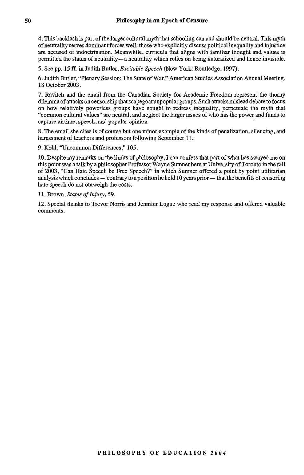4. This backlash is part of the larger cultural myth that schooling can and should be neutral. This myth of neutrality serves dominant forces well: those who explicitly discuss political inequality and injustice are accused of indoctrination. Meanwhile, curricula that aligns with familiar thought and values is permitted the status of neutrality-a neutrality which relies on being naturalized and hence invisible.

5. See pp. 15 *ff.* in Judith Butler, *Excitable Speech* (New York: Routledge, 1997).

6. Judith Butler, "Plenary Session: The State of War," American Studies Association Annual Meeting, 18 October 2003.

7. Ravitch and the email from the Canadian Society for Academic Freedom represent the thorny dilemma of attacks on censorship that scapegoat unpopular groups. Such attacks mislead debate to focus on how relatively powerless groups have sought to redress inequality, perpetuate the myth that "common cultural values" are neutral, and neglect the larger issues of who has the power and funds to capture airtime, speech, and popular opinion

8. The email she cites is of course but one minor example of the kinds of penalization, silencing, and harassment of teachers and professors following September 11.

9. Kohl, "Uncommon Differences," 105.

10. Despite my remarks on the limits of philosophy, I can confess that part of what has swayed me on this point was a talk by a philosopher Professor Wayne Sumner here at University of Toronto in the fall of 2003. "Can Hate Speech be Free Speech?" in which Sumner offered a point by point utilitarian analysis which concludes  $-$  contrary to a position he held 10 years prior  $-$  that the benefits of censoring hate speech do not outweigh the costs.

11. Brown, *States of Injiry,* 59.

12. Special thanks to Trevor Norris and Jennifer Logue who read my response and offered valuable comments.